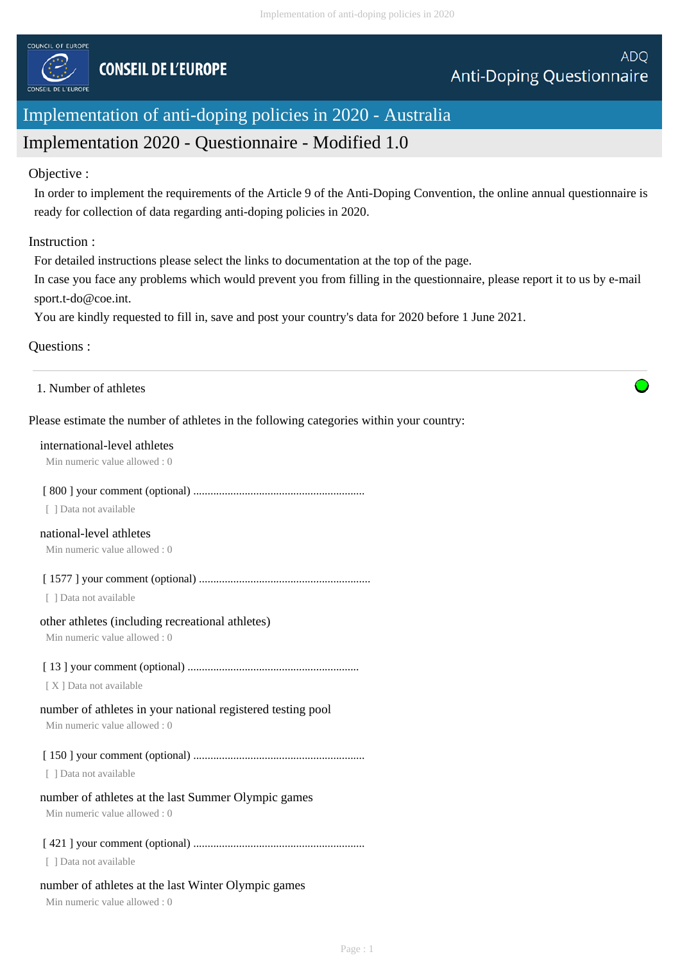

# Implementation of anti-doping policies in 2020 - Australia

# Implementation 2020 - Questionnaire - Modified 1.0

# Objective :

In order to implement the requirements of the Article 9 of the Anti-Doping Convention, the online annual questionnaire is ready for collection of data regarding anti-doping policies in 2020.

# Instruction :

For detailed instructions please select the links to documentation at the top of the page.

In case you face any problems which would prevent you from filling in the questionnaire, please report it to us by e-mail sport.t-do@coe.int.

You are kindly requested to fill in, save and post your country's data for 2020 before 1 June 2021.

# Questions :

1. Number of athletes

# Please estimate the number of athletes in the following categories within your country:

#### international-level athletes

Min numeric value allowed : 0

# [ 800 ] your comment (optional) ............................................................

[ ] Data not available

# national-level athletes

Min numeric value allowed : 0

[ 1577 ] your comment (optional) ............................................................

[ ] Data not available

# other athletes (including recreational athletes)

Min numeric value allowed : 0

# [ 13 ] your comment (optional) ............................................................

[ X ] Data not available

# number of athletes in your national registered testing pool

Min numeric value allowed : 0

[ 150 ] your comment (optional) ............................................................

[ ] Data not available

# number of athletes at the last Summer Olympic games

Min numeric value allowed : 0

# [ 421 ] your comment (optional) ............................................................

[ ] Data not available

# number of athletes at the last Winter Olympic games

Min numeric value allowed : 0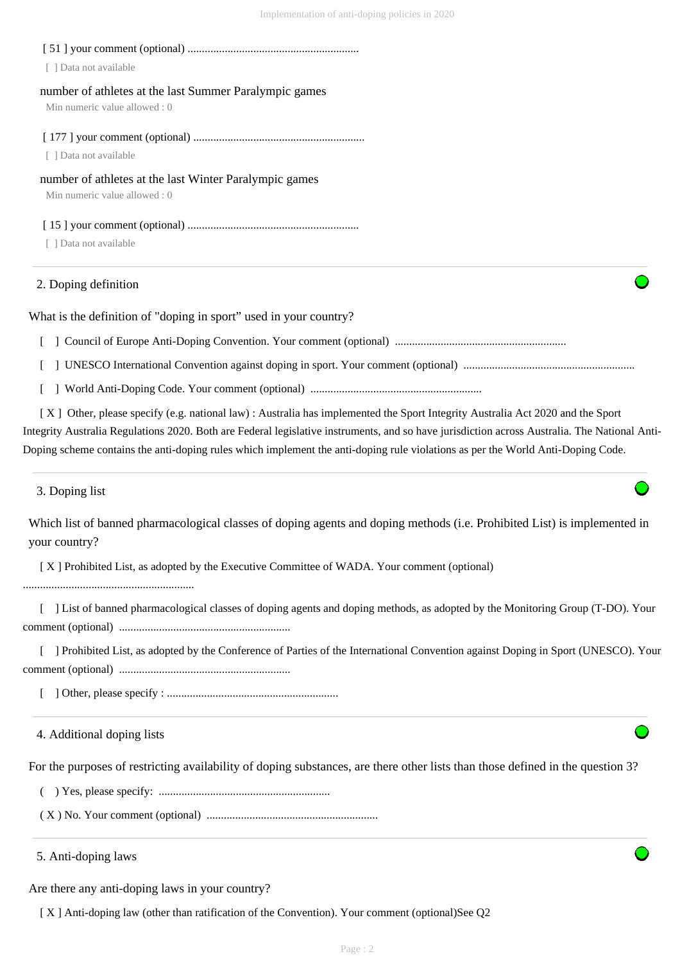# [ 51 ] your comment (optional) ............................................................

[ ] Data not available

# number of athletes at the last Summer Paralympic games

Min numeric value allowed : 0

# [ 177 ] your comment (optional) ............................................................

[ ] Data not available

# number of athletes at the last Winter Paralympic games

Min numeric value allowed : 0

# [ 15 ] your comment (optional) ............................................................

[ ] Data not available

# 2. Doping definition

What is the definition of "doping in sport" used in your country?

[ ] Council of Europe Anti-Doping Convention. Your comment (optional) ............................................................

[ ] UNESCO International Convention against doping in sport. Your comment (optional) ............................................................

[ ] World Anti-Doping Code. Your comment (optional) ............................................................

 [ X ] Other, please specify (e.g. national law) : Australia has implemented the Sport Integrity Australia Act 2020 and the Sport Integrity Australia Regulations 2020. Both are Federal legislative instruments, and so have jurisdiction across Australia. The National Anti-Doping scheme contains the anti-doping rules which implement the anti-doping rule violations as per the World Anti-Doping Code.

3. Doping list

Which list of banned pharmacological classes of doping agents and doping methods (i.e. Prohibited List) is implemented in your country?

[ X ] Prohibited List, as adopted by the Executive Committee of WADA. Your comment (optional)

............................................................

[ ] List of banned pharmacological classes of doping agents and doping methods, as adopted by the Monitoring Group (T-DO). Your comment (optional) ............................................................

 [ ] Prohibited List, as adopted by the Conference of Parties of the International Convention against Doping in Sport (UNESCO). Your comment (optional) ............................................................

[ ] Other, please specify : ............................................................

# 4. Additional doping lists

For the purposes of restricting availability of doping substances, are there other lists than those defined in the question 3?

( ) Yes, please specify: ............................................................

( X ) No. Your comment (optional) ............................................................

# 5. Anti-doping laws

Are there any anti-doping laws in your country?

[ X ] Anti-doping law (other than ratification of the Convention). Your comment (optional)See Q2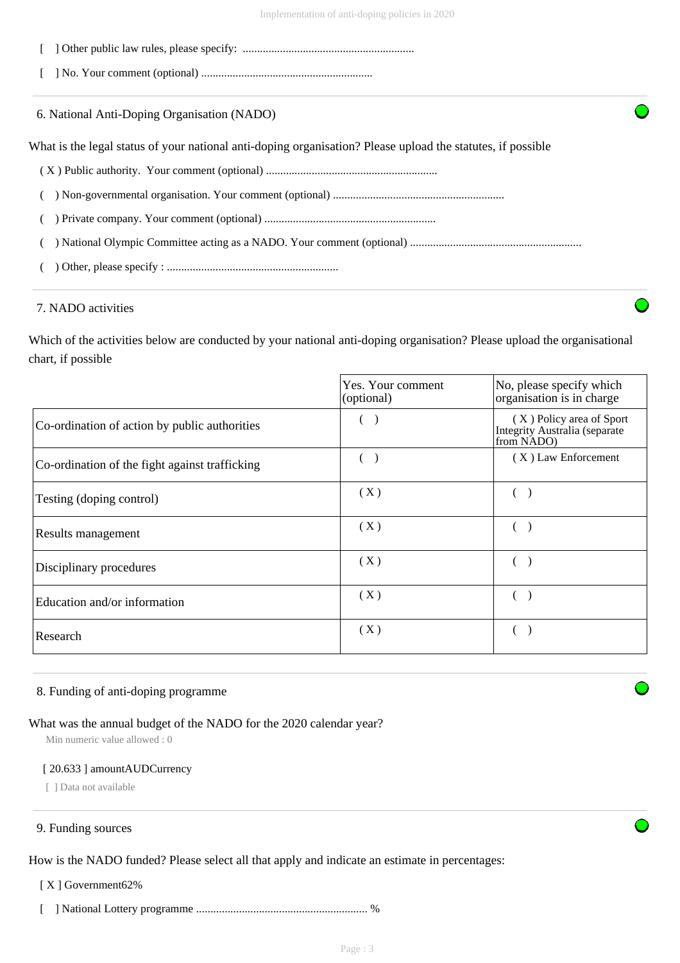- [ ] Other public law rules, please specify: ............................................................
- [ ] No. Your comment (optional) ............................................................

6. National Anti-Doping Organisation (NADO)

What is the legal status of your national anti-doping organisation? Please upload the statutes, if possible

- ( X ) Public authority. Your comment (optional) ............................................................
- ( ) Non-governmental organisation. Your comment (optional) ............................................................
- ( ) Private company. Your comment (optional) ............................................................
- ( ) National Olympic Committee acting as a NADO. Your comment (optional) ............................................................
- ( ) Other, please specify : ............................................................

# 7. NADO activities

Which of the activities below are conducted by your national anti-doping organisation? Please upload the organisational chart, if possible

|                                                | Yes. Your comment<br>(optional) | No, please specify which<br>organisation is in charge                   |
|------------------------------------------------|---------------------------------|-------------------------------------------------------------------------|
| Co-ordination of action by public authorities  |                                 | (X) Policy area of Sport<br>Integrity Australia (separate<br>from NADO) |
| Co-ordination of the fight against trafficking |                                 | $(X)$ Law Enforcement                                                   |
| Testing (doping control)                       | (X)                             |                                                                         |
| Results management                             | (X)                             |                                                                         |
| Disciplinary procedures                        | (X)                             |                                                                         |
| Education and/or information                   | (X)                             |                                                                         |
| Research                                       | (X)                             |                                                                         |

# 8. Funding of anti-doping programme

# What was the annual budget of the NADO for the 2020 calendar year?

Min numeric value allowed : 0

#### [ 20.633 ] amountAUDCurrency

[ ] Data not available

# 9. Funding sources

How is the NADO funded? Please select all that apply and indicate an estimate in percentages:

[ X ] Government62%

[ ] National Lottery programme ............................................................ %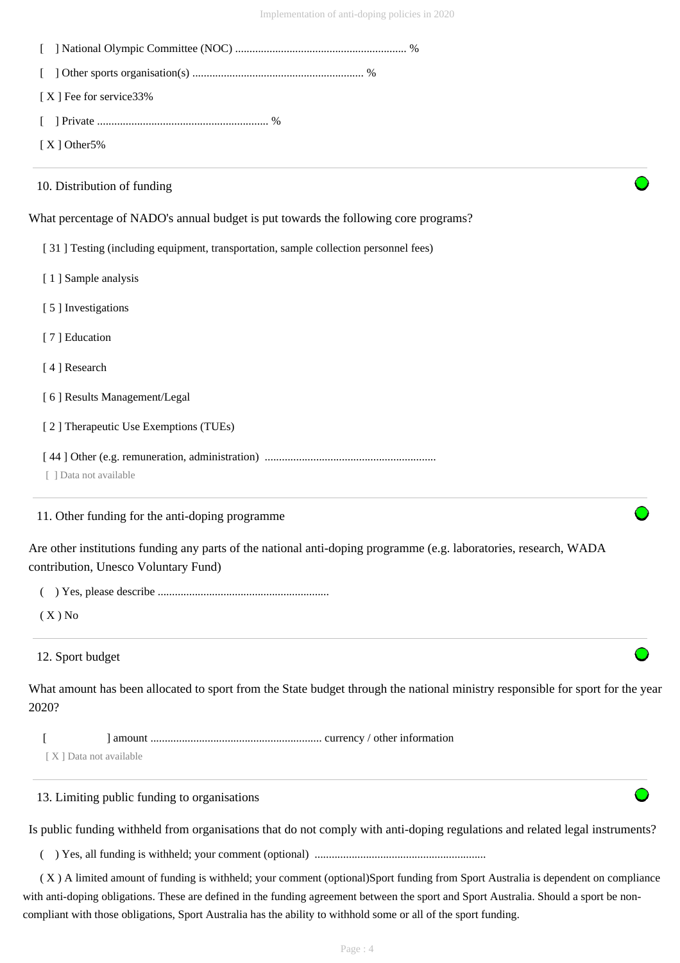| [X] Fee for service 33%                         |                                                                                                                                        |
|-------------------------------------------------|----------------------------------------------------------------------------------------------------------------------------------------|
|                                                 |                                                                                                                                        |
| $[X]$ Other 5%                                  |                                                                                                                                        |
| 10. Distribution of funding                     |                                                                                                                                        |
|                                                 | What percentage of NADO's annual budget is put towards the following core programs?                                                    |
|                                                 | [31] Testing (including equipment, transportation, sample collection personnel fees)                                                   |
| [1] Sample analysis                             |                                                                                                                                        |
| [5] Investigations                              |                                                                                                                                        |
| [7] Education                                   |                                                                                                                                        |
| [4] Research                                    |                                                                                                                                        |
| [6] Results Management/Legal                    |                                                                                                                                        |
| [2] Therapeutic Use Exemptions (TUEs)           |                                                                                                                                        |
| [ ] Data not available                          |                                                                                                                                        |
| 11. Other funding for the anti-doping programme |                                                                                                                                        |
| contribution, Unesco Voluntary Fund)            | Are other institutions funding any parts of the national anti-doping programme (e.g. laboratories, research, WADA                      |
|                                                 |                                                                                                                                        |
| $(X)$ No                                        |                                                                                                                                        |
| 12. Sport budget                                |                                                                                                                                        |
| 2020?                                           | What amount has been allocated to sport from the State budget through the national ministry responsible for sport for the year         |
|                                                 |                                                                                                                                        |
| [X] Data not available                          |                                                                                                                                        |
| 13. Limiting public funding to organisations    |                                                                                                                                        |
|                                                 | Is public funding withheld from organisations that do not comply with anti-doping regulations and related legal instruments?           |
| €                                               |                                                                                                                                        |
|                                                 | (X) A limited amount of funding is withheld; your comment (optional)Sport funding from Sport Australia is dependent on compliance      |
|                                                 | with anti-doping obligations. These are defined in the funding agreement between the sport and Sport Australia. Should a sport be non- |

compliant with those obligations, Sport Australia has the ability to withhold some or all of the sport funding.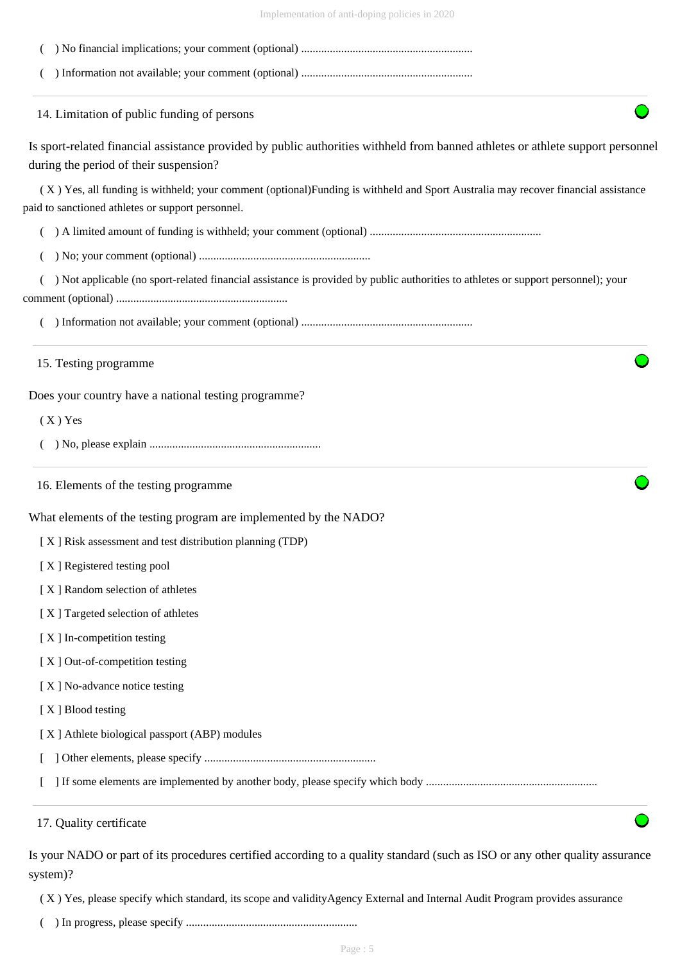| 14. Limitation of public funding of persons                                                                                                                                             |
|-----------------------------------------------------------------------------------------------------------------------------------------------------------------------------------------|
| Is sport-related financial assistance provided by public authorities withheld from banned athletes or athlete support personnel<br>during the period of their suspension?               |
| (X) Yes, all funding is withheld; your comment (optional) Funding is withheld and Sport Australia may recover financial assistance<br>paid to sanctioned athletes or support personnel. |
|                                                                                                                                                                                         |
|                                                                                                                                                                                         |
| ) Not applicable (no sport-related financial assistance is provided by public authorities to athletes or support personnel); your                                                       |
|                                                                                                                                                                                         |
| 15. Testing programme                                                                                                                                                                   |
| Does your country have a national testing programme?                                                                                                                                    |
| $(X)$ Yes                                                                                                                                                                               |
|                                                                                                                                                                                         |
| 16. Elements of the testing programme                                                                                                                                                   |
| What elements of the testing program are implemented by the NADO?                                                                                                                       |
| [X] Risk assessment and test distribution planning (TDP)                                                                                                                                |
| [X] Registered testing pool                                                                                                                                                             |
| [X] Random selection of athletes                                                                                                                                                        |
| [X] Targeted selection of athletes                                                                                                                                                      |
| [X] In-competition testing                                                                                                                                                              |
| [X] Out-of-competition testing                                                                                                                                                          |
| [X] No-advance notice testing                                                                                                                                                           |
| [X] Blood testing                                                                                                                                                                       |
| [X] Athlete biological passport (ABP) modules                                                                                                                                           |
|                                                                                                                                                                                         |
|                                                                                                                                                                                         |
| 17. Quality certificate                                                                                                                                                                 |
| Is your NADO or part of its procedures certified according to a quality standard (such as ISO or any other quality assurance<br>system)?                                                |

( X ) Yes, please specify which standard, its scope and validityAgency External and Internal Audit Program provides assurance

( ) In progress, please specify ............................................................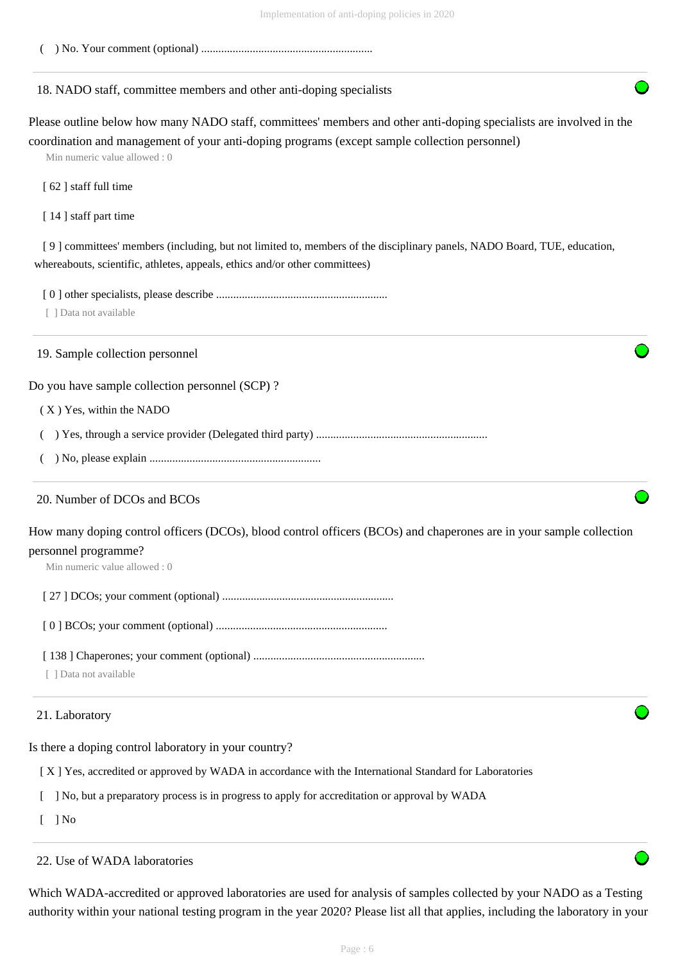( ) No. Your comment (optional) ............................................................

# 18. NADO staff, committee members and other anti-doping specialists

Please outline below how many NADO staff, committees' members and other anti-doping specialists are involved in the coordination and management of your anti-doping programs (except sample collection personnel)

Min numeric value allowed : 0

[ 62 ] staff full time

[14] staff part time

 [ 9 ] committees' members (including, but not limited to, members of the disciplinary panels, NADO Board, TUE, education, whereabouts, scientific, athletes, appeals, ethics and/or other committees)

[ 0 ] other specialists, please describe ............................................................

[ ] Data not available

19. Sample collection personnel

Do you have sample collection personnel (SCP) ?

( X ) Yes, within the NADO

( ) Yes, through a service provider (Delegated third party) ............................................................

( ) No, please explain ............................................................

# 20. Number of DCOs and BCOs

How many doping control officers (DCOs), blood control officers (BCOs) and chaperones are in your sample collection personnel programme?

Min numeric value allowed : 0

[ 27 ] DCOs; your comment (optional) ............................................................

[ 0 ] BCOs; your comment (optional) ............................................................

[ 138 ] Chaperones; your comment (optional) ............................................................

[ ] Data not available

# 21. Laboratory

Is there a doping control laboratory in your country?

[ X ] Yes, accredited or approved by WADA in accordance with the International Standard for Laboratories

[ ] No, but a preparatory process is in progress to apply for accreditation or approval by WADA

 $\lceil$   $\rceil$  No

22. Use of WADA laboratories

Which WADA-accredited or approved laboratories are used for analysis of samples collected by your NADO as a Testing authority within your national testing program in the year 2020? Please list all that applies, including the laboratory in your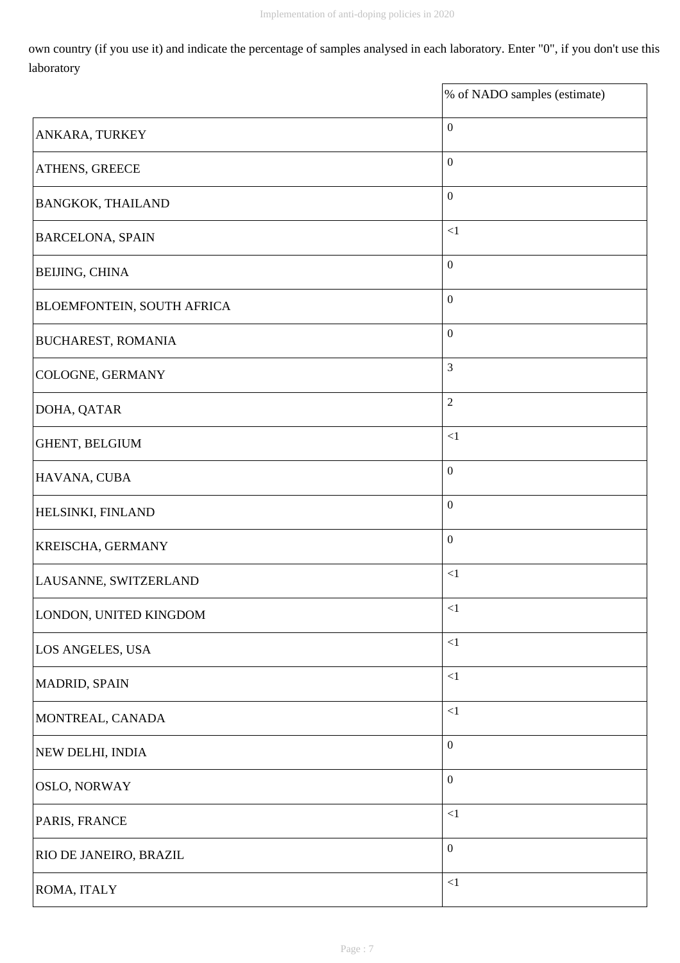own country (if you use it) and indicate the percentage of samples analysed in each laboratory. Enter "0", if you don't use this laboratory

|                            | % of NADO samples (estimate) |
|----------------------------|------------------------------|
| ANKARA, TURKEY             | $\boldsymbol{0}$             |
| ATHENS, GREECE             | $\boldsymbol{0}$             |
| <b>BANGKOK, THAILAND</b>   | $\boldsymbol{0}$             |
| <b>BARCELONA, SPAIN</b>    | ${<}1$                       |
| BEIJING, CHINA             | $\boldsymbol{0}$             |
| BLOEMFONTEIN, SOUTH AFRICA | $\boldsymbol{0}$             |
| <b>BUCHAREST, ROMANIA</b>  | $\boldsymbol{0}$             |
| COLOGNE, GERMANY           | $\mathfrak{Z}$               |
| DOHA, QATAR                | $\overline{2}$               |
| GHENT, BELGIUM             | ${<}1$                       |
| HAVANA, CUBA               | $\boldsymbol{0}$             |
| HELSINKI, FINLAND          | $\boldsymbol{0}$             |
| KREISCHA, GERMANY          | $\boldsymbol{0}$             |
| LAUSANNE, SWITZERLAND      | ${<}1$                       |
| LONDON, UNITED KINGDOM     | ${<}1\,$                     |
| LOS ANGELES, USA           | ${<}1$                       |
| MADRID, SPAIN              | ${<}1$                       |
| MONTREAL, CANADA           | ${<}1\,$                     |
| NEW DELHI, INDIA           | $\boldsymbol{0}$             |
| OSLO, NORWAY               | $\boldsymbol{0}$             |
| PARIS, FRANCE              | ${<}1$                       |
| RIO DE JANEIRO, BRAZIL     | $\boldsymbol{0}$             |
| ROMA, ITALY                | ${<}1$                       |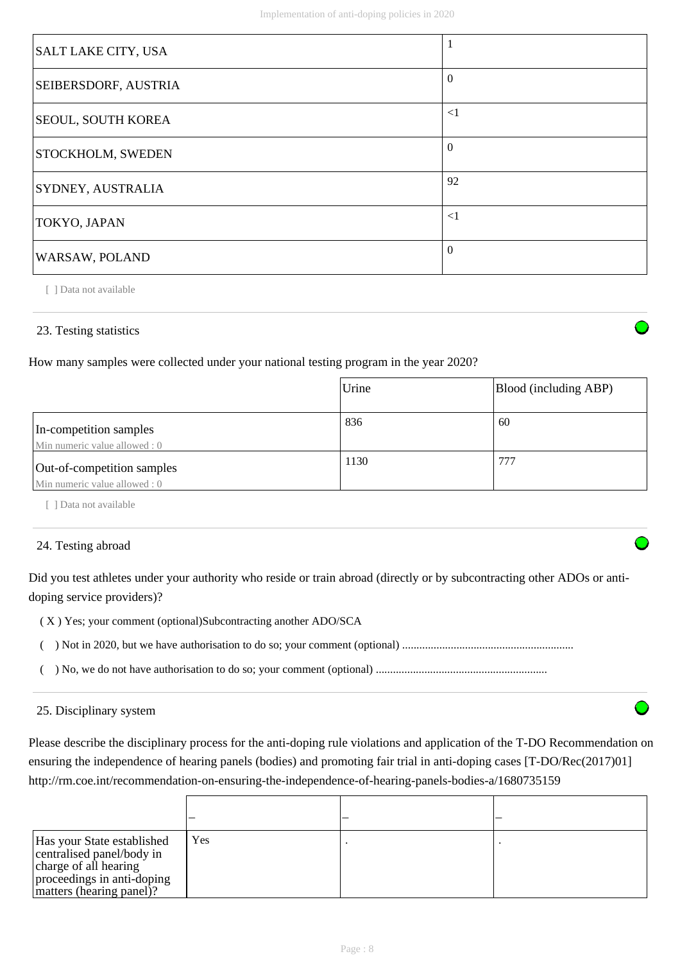| SALT LAKE CITY, USA       | -1             |
|---------------------------|----------------|
| SEIBERSDORF, AUSTRIA      | $\Omega$       |
| <b>SEOUL, SOUTH KOREA</b> | $\leq$ 1       |
| <b>STOCKHOLM, SWEDEN</b>  | $\overline{0}$ |
| SYDNEY, AUSTRALIA         | 92             |
| TOKYO, JAPAN              | $\leq$ 1       |
| WARSAW, POLAND            | $\Omega$       |

[ ] Data not available

# 23. Testing statistics

How many samples were collected under your national testing program in the year 2020?

|                                                             | Urine | Blood (including ABP) |
|-------------------------------------------------------------|-------|-----------------------|
| In-competition samples<br>Min numeric value allowed : 0     | 836   | 60                    |
| Out-of-competition samples<br>Min numeric value allowed : 0 | 1130  | 777                   |

[ ] Data not available

# 24. Testing abroad

Did you test athletes under your authority who reside or train abroad (directly or by subcontracting other ADOs or antidoping service providers)?

- ( X ) Yes; your comment (optional)Subcontracting another ADO/SCA
- ( ) Not in 2020, but we have authorisation to do so; your comment (optional) ............................................................
- ( ) No, we do not have authorisation to do so; your comment (optional) ............................................................

# 25. Disciplinary system

Please describe the disciplinary process for the anti-doping rule violations and application of the T-DO Recommendation on ensuring the independence of hearing panels (bodies) and promoting fair trial in anti-doping cases [T-DO/Rec(2017)01] http://rm.coe.int/recommendation-on-ensuring-the-independence-of-hearing-panels-bodies-a/1680735159

| Has your State established<br>centralised panel/body in<br>charge of all hearing<br>proceedings in anti-doping<br>matters (hearing panel)? | Yes |  |
|--------------------------------------------------------------------------------------------------------------------------------------------|-----|--|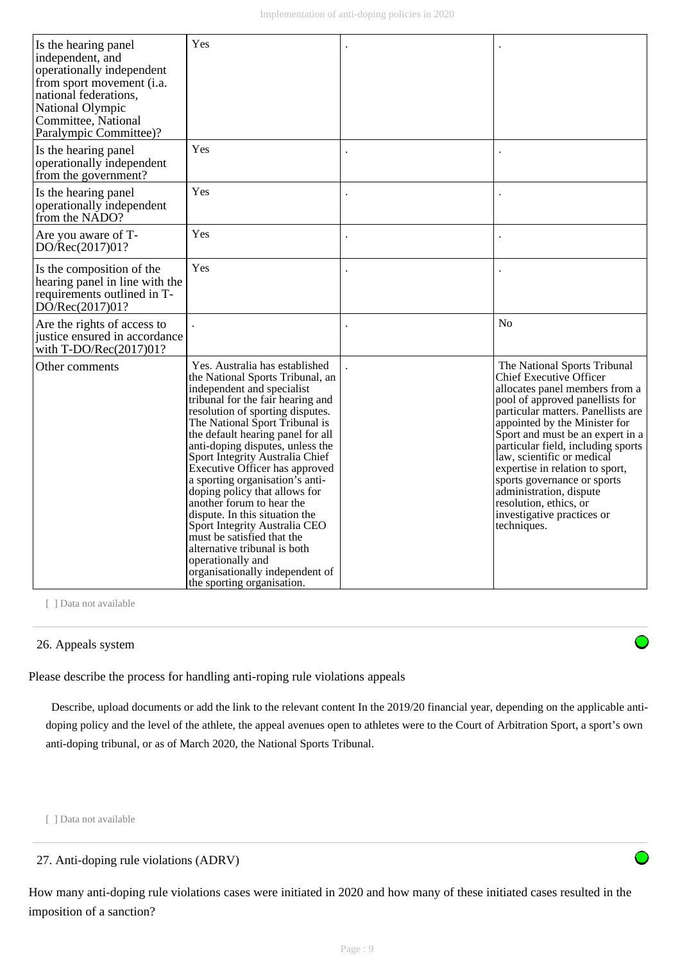| Is the hearing panel<br>independent, and<br>operationally independent<br>from sport movement (i.a.<br>national federations,<br><b>National Olympic</b><br>Committee, National<br>Paralympic Committee)? | Yes                                                                                                                                                                                                                                                                                                                                                                                                                                                                                                                                                                                                                                                                               |                                                                                                                                                                                                                                                                                                                                                                                                                                                                                        |
|---------------------------------------------------------------------------------------------------------------------------------------------------------------------------------------------------------|-----------------------------------------------------------------------------------------------------------------------------------------------------------------------------------------------------------------------------------------------------------------------------------------------------------------------------------------------------------------------------------------------------------------------------------------------------------------------------------------------------------------------------------------------------------------------------------------------------------------------------------------------------------------------------------|----------------------------------------------------------------------------------------------------------------------------------------------------------------------------------------------------------------------------------------------------------------------------------------------------------------------------------------------------------------------------------------------------------------------------------------------------------------------------------------|
| Is the hearing panel<br>operationally independent<br>from the government?                                                                                                                               | Yes                                                                                                                                                                                                                                                                                                                                                                                                                                                                                                                                                                                                                                                                               |                                                                                                                                                                                                                                                                                                                                                                                                                                                                                        |
| Is the hearing panel<br>operationally independent<br>from the NADO?                                                                                                                                     | Yes                                                                                                                                                                                                                                                                                                                                                                                                                                                                                                                                                                                                                                                                               |                                                                                                                                                                                                                                                                                                                                                                                                                                                                                        |
| Are you aware of T-<br>DO/Rec(2017)01?                                                                                                                                                                  | Yes                                                                                                                                                                                                                                                                                                                                                                                                                                                                                                                                                                                                                                                                               |                                                                                                                                                                                                                                                                                                                                                                                                                                                                                        |
| Is the composition of the<br>hearing panel in line with the<br>requirements outlined in T-<br>DO/Rec(2017)01?                                                                                           | Yes                                                                                                                                                                                                                                                                                                                                                                                                                                                                                                                                                                                                                                                                               |                                                                                                                                                                                                                                                                                                                                                                                                                                                                                        |
| Are the rights of access to<br>justice ensured in accordance<br>with $T\text{-DO/Rec}(2017)01?$                                                                                                         |                                                                                                                                                                                                                                                                                                                                                                                                                                                                                                                                                                                                                                                                                   | No                                                                                                                                                                                                                                                                                                                                                                                                                                                                                     |
| Other comments                                                                                                                                                                                          | Yes. Australia has established<br>the National Sports Tribunal, an<br>independent and specialist<br>tribunal for the fair hearing and<br>resolution of sporting disputes.<br>The National Sport Tribunal is<br>the default hearing panel for all<br>anti-doping disputes, unless the<br>Sport Integrity Australia Chief<br>Executive Officer has approved<br>a sporting organisation's anti-<br>doping policy that allows for<br>another forum to hear the<br>dispute. In this situation the<br>Sport Integrity Australia CEO<br>must be satisfied that the<br>alternative tribunal is both<br>operationally and<br>organisationally independent of<br>the sporting organisation. | The National Sports Tribunal<br><b>Chief Executive Officer</b><br>allocates panel members from a<br>pool of approved panellists for<br>particular matters. Panellists are<br>appointed by the Minister for<br>Sport and must be an expert in a<br>particular field, including sports<br>law, scientific or medical<br>expertise in relation to sport,<br>sports governance or sports<br>administration, dispute<br>resolution, ethics, or<br>investigative practices or<br>techniques. |

[ ] Data not available

# 26. Appeals system

Please describe the process for handling anti-roping rule violations appeals

 Describe, upload documents or add the link to the relevant content In the 2019/20 financial year, depending on the applicable antidoping policy and the level of the athlete, the appeal avenues open to athletes were to the Court of Arbitration Sport, a sport's own anti-doping tribunal, or as of March 2020, the National Sports Tribunal.

[ ] Data not available

How many anti-doping rule violations cases were initiated in 2020 and how many of these initiated cases resulted in the imposition of a sanction?

<sup>27.</sup> Anti-doping rule violations (ADRV)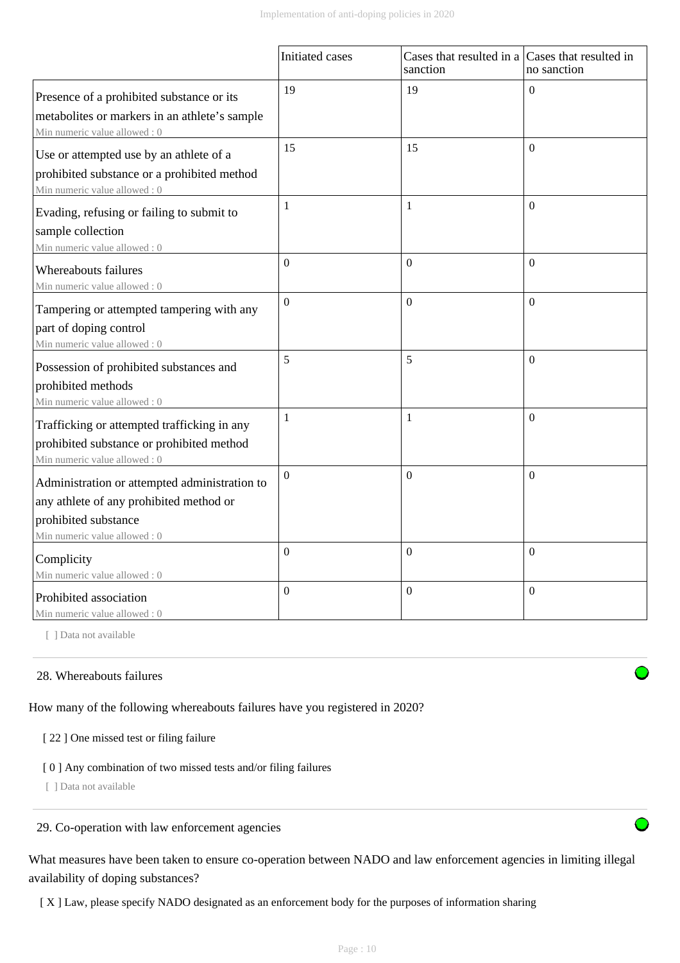|                                                                                                                                                  | Initiated cases | Cases that resulted in a Cases that resulted in<br>sanction | no sanction      |
|--------------------------------------------------------------------------------------------------------------------------------------------------|-----------------|-------------------------------------------------------------|------------------|
| Presence of a prohibited substance or its<br>metabolites or markers in an athlete's sample<br>Min numeric value allowed: 0                       | 19              | 19                                                          | $\Omega$         |
| Use or attempted use by an athlete of a<br>prohibited substance or a prohibited method<br>Min numeric value allowed: 0                           | 15              | 15                                                          | $\Omega$         |
| Evading, refusing or failing to submit to<br>sample collection<br>Min numeric value allowed: 0                                                   | 1               | $\mathbf{1}$                                                | $\Omega$         |
| Whereabouts failures<br>Min numeric value allowed: 0                                                                                             | $\overline{0}$  | $\mathbf{0}$                                                | $\overline{0}$   |
| Tampering or attempted tampering with any<br>part of doping control<br>Min numeric value allowed: 0                                              | $\Omega$        | $\overline{0}$                                              | $\theta$         |
| Possession of prohibited substances and<br>prohibited methods<br>Min numeric value allowed: 0                                                    | 5               | 5                                                           | $\theta$         |
| Trafficking or attempted trafficking in any<br>prohibited substance or prohibited method<br>Min numeric value allowed: 0                         | 1               | 1                                                           | $\theta$         |
| Administration or attempted administration to<br>any athlete of any prohibited method or<br>prohibited substance<br>Min numeric value allowed: 0 | $\Omega$        | $\Omega$                                                    | $\overline{0}$   |
| Complicity<br>Min numeric value allowed: 0                                                                                                       | $\overline{0}$  | $\boldsymbol{0}$                                            | $\boldsymbol{0}$ |
| Prohibited association<br>Min numeric value allowed: 0                                                                                           | $\Omega$        | $\Omega$                                                    | $\boldsymbol{0}$ |

[ ] Data not available

# 28. Whereabouts failures

How many of the following whereabouts failures have you registered in 2020?

# [ 22 ] One missed test or filing failure

# [ 0 ] Any combination of two missed tests and/or filing failures

[ ] Data not available

#### 29. Co-operation with law enforcement agencies

What measures have been taken to ensure co-operation between NADO and law enforcement agencies in limiting illegal availability of doping substances?

[ X ] Law, please specify NADO designated as an enforcement body for the purposes of information sharing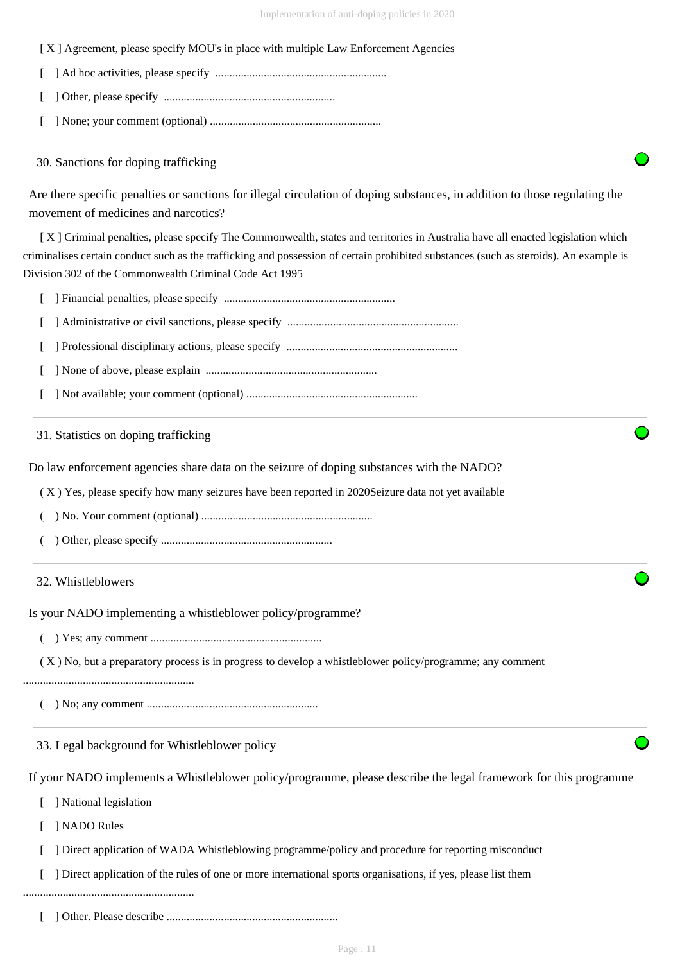[ X ] Agreement, please specify MOU's in place with multiple Law Enforcement Agencies

- [ ] Ad hoc activities, please specify ............................................................
- [ ] Other, please specify ............................................................
- [ ] None; your comment (optional) ............................................................

# 30. Sanctions for doping trafficking

Are there specific penalties or sanctions for illegal circulation of doping substances, in addition to those regulating the movement of medicines and narcotics?

 [ X ] Criminal penalties, please specify The Commonwealth, states and territories in Australia have all enacted legislation which criminalises certain conduct such as the trafficking and possession of certain prohibited substances (such as steroids). An example is Division 302 of the Commonwealth Criminal Code Act 1995

- [ ] Financial penalties, please specify ............................................................
- [ ] Administrative or civil sanctions, please specify ............................................................
- [ ] Professional disciplinary actions, please specify ............................................................
- [ ] None of above, please explain ............................................................
- [ ] Not available; your comment (optional) ............................................................

31. Statistics on doping trafficking

Do law enforcement agencies share data on the seizure of doping substances with the NADO?

( X ) Yes, please specify how many seizures have been reported in 2020Seizure data not yet available

- ( ) No. Your comment (optional) ............................................................
- ( ) Other, please specify ............................................................

# 32. Whistleblowers

Is your NADO implementing a whistleblower policy/programme?

( ) Yes; any comment ............................................................

( X ) No, but a preparatory process is in progress to develop a whistleblower policy/programme; any comment

#### ............................................................

( ) No; any comment ............................................................

33. Legal background for Whistleblower policy

If your NADO implements a Whistleblower policy/programme, please describe the legal framework for this programme

- [ ] National legislation
- [ ] NADO Rules
- [ ] Direct application of WADA Whistleblowing programme/policy and procedure for reporting misconduct

[ ] Direct application of the rules of one or more international sports organisations, if yes, please list them

............................................................

[ ] Other. Please describe ............................................................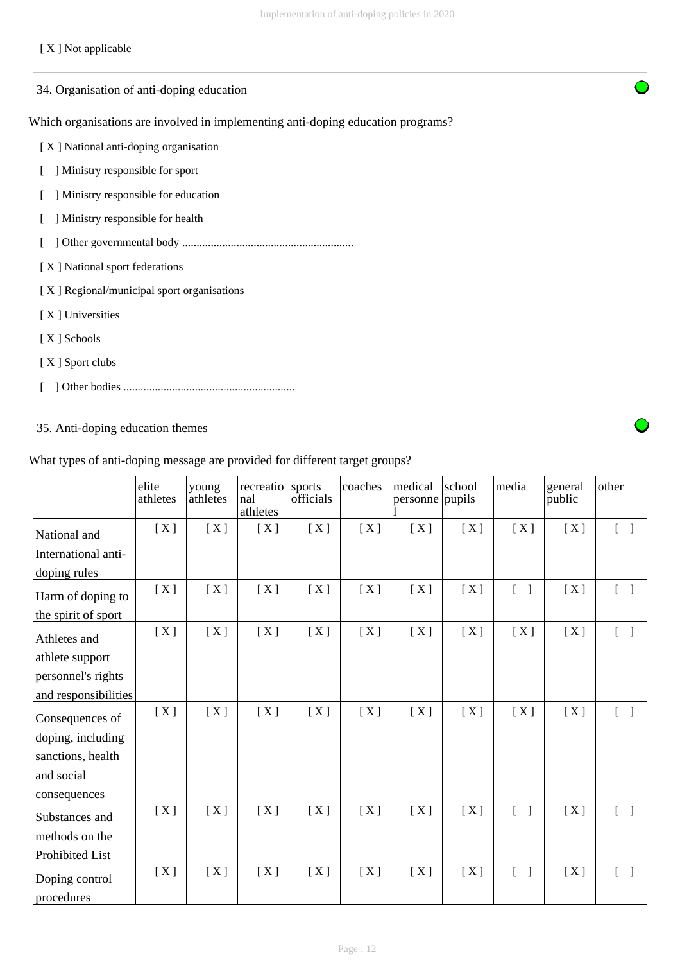# [ X ] Not applicable

| 34. Organisation of anti-doping education                                        |
|----------------------------------------------------------------------------------|
| Which organisations are involved in implementing anti-doping education programs? |
| [X] National anti-doping organisation                                            |
| Ministry responsible for sport                                                   |
| Ministry responsible for education                                               |
| Ministry responsible for health                                                  |
|                                                                                  |
| [X] National sport federations                                                   |
| [X] Regional/municipal sport organisations                                       |
| [X] Universities                                                                 |
| [X] Schools                                                                      |
| [X] Sport clubs                                                                  |
|                                                                                  |
|                                                                                  |

# 35. Anti-doping education themes

 $\overline{a}$ 

|                              | elite<br>athletes | young<br>athletes | recreatio<br>nal<br>athletes | sports<br>officials | coaches | medical<br>personne pupils | school | media                             | general<br>public | other                             |
|------------------------------|-------------------|-------------------|------------------------------|---------------------|---------|----------------------------|--------|-----------------------------------|-------------------|-----------------------------------|
| National and                 | [X]               | [X]               | [X]                          | [X]                 | [X]     | [X]                        | [X]    | [X]                               | [X]               | $\begin{bmatrix} 1 \end{bmatrix}$ |
| International anti-          |                   |                   |                              |                     |         |                            |        |                                   |                   |                                   |
| doping rules                 |                   |                   |                              |                     |         |                            |        |                                   |                   |                                   |
| Harm of doping to            | [X]               | [X]               | [X]                          | [X]                 | [X]     | [X]                        | [X]    | $[\ ]$                            | [X]               | $\begin{bmatrix} 1 \end{bmatrix}$ |
| the spirit of sport          |                   |                   |                              |                     |         |                            |        |                                   |                   |                                   |
| Athletes and                 | [X]               | [X]               | [X]                          | [X]                 | [X]     | [X]                        | [X]    | [X]                               | [X]               | $\begin{bmatrix} 1 \end{bmatrix}$ |
| athlete support              |                   |                   |                              |                     |         |                            |        |                                   |                   |                                   |
| personnel's rights           |                   |                   |                              |                     |         |                            |        |                                   |                   |                                   |
| and responsibilities         |                   |                   |                              |                     |         |                            |        |                                   |                   |                                   |
| Consequences of              | [X]               | [X]               | [X]                          | [X]                 | [X]     | [X]                        | [X]    | [X]                               | [X]               | $\begin{bmatrix} 1 \end{bmatrix}$ |
| doping, including            |                   |                   |                              |                     |         |                            |        |                                   |                   |                                   |
| sanctions, health            |                   |                   |                              |                     |         |                            |        |                                   |                   |                                   |
| and social                   |                   |                   |                              |                     |         |                            |        |                                   |                   |                                   |
| consequences                 |                   |                   |                              |                     |         |                            |        |                                   |                   |                                   |
| Substances and               | [X]               | [X]               | [X]                          | [X]                 | [X]     | [X]                        | [X]    | $\begin{bmatrix} 1 \end{bmatrix}$ | [X]               | $\begin{bmatrix} 1 \end{bmatrix}$ |
| methods on the               |                   |                   |                              |                     |         |                            |        |                                   |                   |                                   |
| Prohibited List              |                   |                   |                              |                     |         |                            |        |                                   |                   |                                   |
| Doping control<br>procedures | [X]               | [X]               | [X]                          | [X]                 | [X]     | [X]                        | [X]    | $[\ ]$                            | [X]               | $\begin{bmatrix} 1 \end{bmatrix}$ |
|                              |                   |                   |                              |                     |         |                            |        |                                   |                   |                                   |

What types of anti-doping message are provided for different target groups?

Page : 12

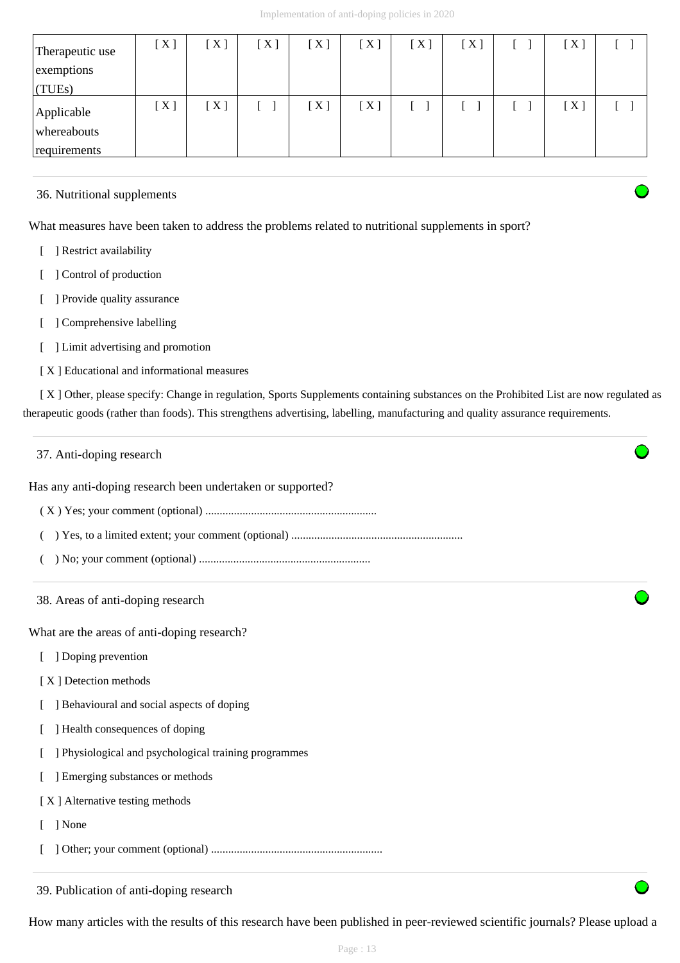| Therapeutic use<br>exemptions<br>$\vert$ (TUEs) | [ X ] | [X] | [X] | [X] | [X] | [X] | [X] | $[\,\mathrm{X}\,]$ |  |
|-------------------------------------------------|-------|-----|-----|-----|-----|-----|-----|--------------------|--|
| Applicable<br>whereabouts<br>requirements       | [X]   | [X] |     | [X] | [X] |     |     | $[\,\mathrm{X}\,]$ |  |

# 36. Nutritional supplements

What measures have been taken to address the problems related to nutritional supplements in sport?

- [ ] Restrict availability
- [ ] Control of production
- [ ] Provide quality assurance
- [ ] Comprehensive labelling
- [ ] Limit advertising and promotion
- [ X ] Educational and informational measures

[X] Other, please specify: Change in regulation, Sports Supplements containing substances on the Prohibited List are now regulated as therapeutic goods (rather than foods). This strengthens advertising, labelling, manufacturing and quality assurance requirements.

| 37. Anti-doping research                                   |  |  |  |  |  |  |
|------------------------------------------------------------|--|--|--|--|--|--|
| Has any anti-doping research been undertaken or supported? |  |  |  |  |  |  |
|                                                            |  |  |  |  |  |  |
|                                                            |  |  |  |  |  |  |
|                                                            |  |  |  |  |  |  |
| 38. Areas of anti-doping research                          |  |  |  |  |  |  |
| What are the areas of anti-doping research?                |  |  |  |  |  |  |
| ] Doping prevention                                        |  |  |  |  |  |  |
| [X] Detection methods                                      |  |  |  |  |  |  |
| ] Behavioural and social aspects of doping                 |  |  |  |  |  |  |
| ] Health consequences of doping                            |  |  |  |  |  |  |
| ] Physiological and psychological training programmes      |  |  |  |  |  |  |
| ] Emerging substances or methods                           |  |  |  |  |  |  |
| [X] Alternative testing methods                            |  |  |  |  |  |  |
| ] None                                                     |  |  |  |  |  |  |
|                                                            |  |  |  |  |  |  |
| 39. Publication of anti-doping research                    |  |  |  |  |  |  |

How many articles with the results of this research have been published in peer-reviewed scientific journals? Please upload a